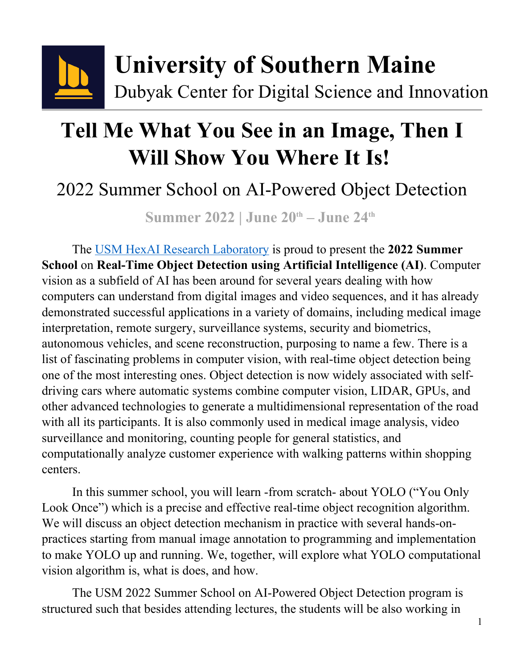

# **Tell Me What You See in an Image, Then I Will Show You Where It Is!**

## 2022 Summer School on AI-Powered Object Detection

**Summer 2022 | June 20th – June 24th**

The [USM HexAI Research Laboratory](https://hexailab.github.io) is proud to present the **2022 Summer School** on **Real-Time Object Detection using Artificial Intelligence (AI)**. Computer vision as a subfield of AI has been around for several years dealing with how computers can understand from digital images and video sequences, and it has already demonstrated successful applications in a variety of domains, including medical image interpretation, remote surgery, surveillance systems, security and biometrics, autonomous vehicles, and scene reconstruction, purposing to name a few. There is a list of fascinating problems in computer vision, with real-time object detection being one of the most interesting ones. Object detection is now widely associated with selfdriving cars where automatic systems combine computer vision, LIDAR, GPUs, and other advanced technologies to generate a multidimensional representation of the road with all its participants. It is also commonly used in medical image analysis, video surveillance and monitoring, counting people for general statistics, and computationally analyze customer experience with walking patterns within shopping centers.

In this summer school, you will learn -from scratch- about YOLO ("You Only Look Once") which is a precise and effective real-time object recognition algorithm. We will discuss an object detection mechanism in practice with several hands-onpractices starting from manual image annotation to programming and implementation to make YOLO up and running. We, together, will explore what YOLO computational vision algorithm is, what is does, and how.

The USM 2022 Summer School on AI-Powered Object Detection program is structured such that besides attending lectures, the students will be also working in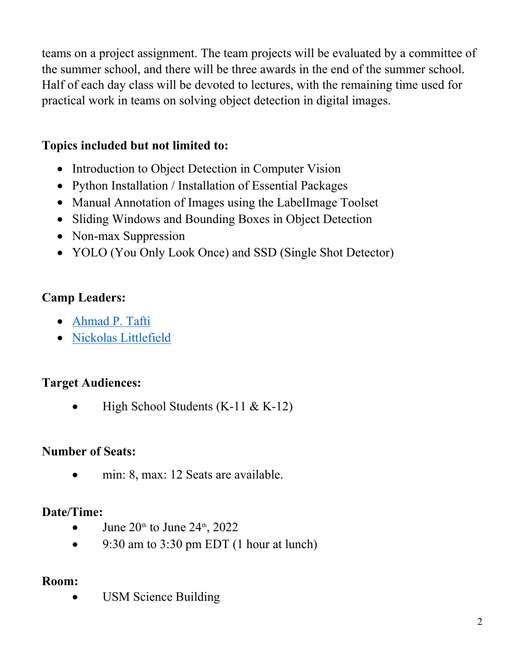teams on a project assignment. The team projects will be evaluated by a committee of the summer school, and there will be three awards in the end of the summer school. Half of each day class will be devoted to lectures, with the remaining time used for practical work in teams on solving object detection in digital images.

#### **Topics included but not limited to:**

- Introduction to Object Detection in Computer Vision
- Python Installation / Installation of Essential Packages
- Manual Annotation of Images using the LabelImage Toolset
- Sliding Windows and Bounding Boxes in Object Detection
- Non-max Suppression
- YOLO (You Only Look Once) and SSD (Single Shot Detector)

#### **Camp Leaders:**

- [Ahmad P. Tafti](https://usm.maine.edu/cos/ahmad-pahlavan-tafti)
- [Nickolas Littlefield](https://www.linkedin.com/in/nlit)

#### **Target Audiences:**

High School Students (K-11 & K-12)

#### **Number of Seats:**

min: 8, max: 12 Seats are available.

#### **Date/Time:**

- June  $20<sup>th</sup>$  to June  $24<sup>th</sup>$ ,  $2022$
- $\bullet$  9:30 am to 3:30 pm EDT (1 hour at lunch)

#### **Room:**

USM Science Building